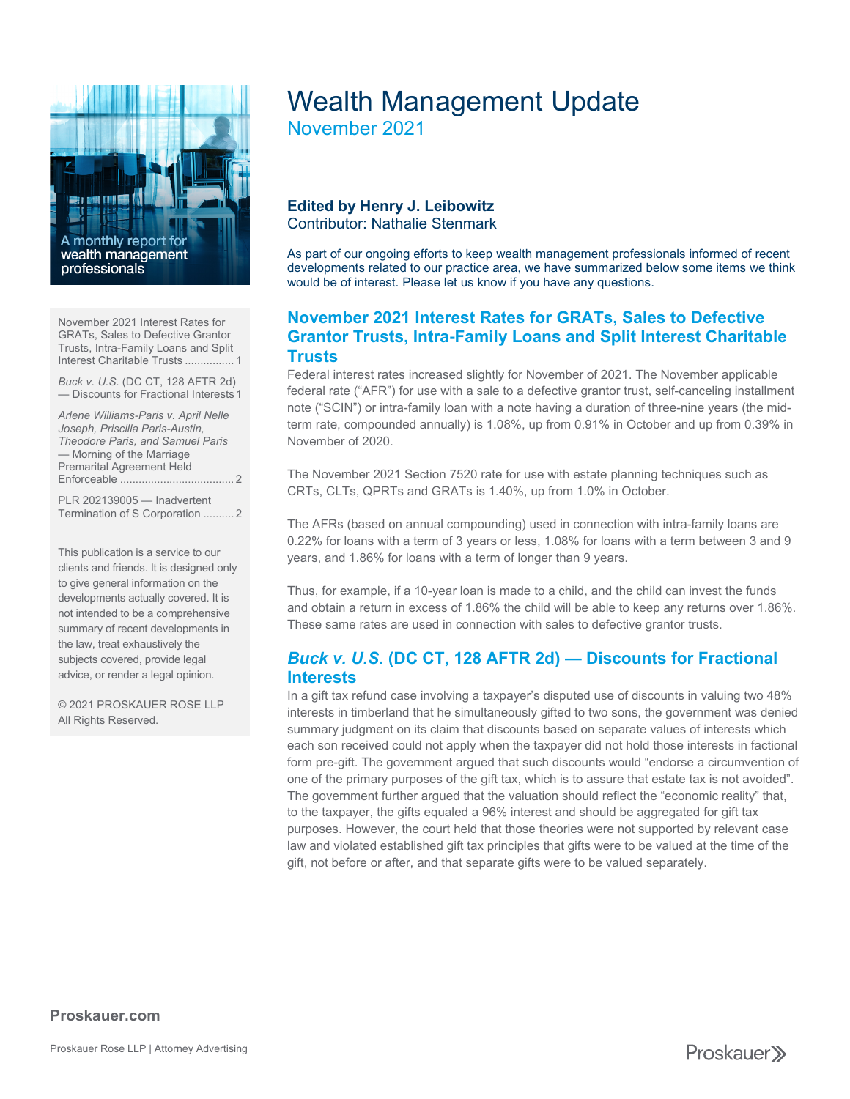

[November 2021 Interest Rates for](#page-0-0)  [GRATs, Sales to Defective Grantor](#page-0-0)  [Trusts, Intra-Family Loans and Split](#page-0-0)  [Interest Charitable Trusts](#page-0-0) ................ 1

*Buck v. U.S.* [\(DC CT, 128 AFTR 2d\)](#page-0-1)  — [Discounts for Fractional Interests1](#page-0-1)

*[Arlene Williams-Paris v. April Nelle](#page-1-0)  [Joseph, Priscilla Paris-Austin,](#page-1-0) [Theodore Paris, and Samuel Paris](#page-1-0)* — [Morning of the Marriage](#page-1-0)  [Premarital Agreement Held](#page-1-0)  Enforceable [.....................................](#page-1-0) 2

[PLR 202139005 —](#page-1-1) Inadvertent [Termination of S Corporation](#page-1-1) .......... 2

This publication is a service to our clients and friends. It is designed only to give general information on the developments actually covered. It is not intended to be a comprehensive summary of recent developments in the law, treat exhaustively the subjects covered, provide legal advice, or render a legal opinion.

© 2021 PROSKAUER ROSE LLP All Rights Reserved.

# Wealth Management Update

November 2021

#### **Edited by Henry J. Leibowitz** Contributor: Nathalie Stenmark

As part of our ongoing efforts to keep wealth management professionals informed of recent developments related to our practice area, we have summarized below some items we think would be of interest. Please let us know if you have any questions.

## <span id="page-0-0"></span>**November 2021 Interest Rates for GRATs, Sales to Defective Grantor Trusts, Intra-Family Loans and Split Interest Charitable Trusts**

Federal interest rates increased slightly for November of 2021. The November applicable federal rate ("AFR") for use with a sale to a defective grantor trust, self-canceling installment note ("SCIN") or intra-family loan with a note having a duration of three-nine years (the midterm rate, compounded annually) is 1.08%, up from 0.91% in October and up from 0.39% in November of 2020.

The November 2021 Section 7520 rate for use with estate planning techniques such as CRTs, CLTs, QPRTs and GRATs is 1.40%, up from 1.0% in October.

The AFRs (based on annual compounding) used in connection with intra-family loans are 0.22% for loans with a term of 3 years or less, 1.08% for loans with a term between 3 and 9 years, and 1.86% for loans with a term of longer than 9 years.

Thus, for example, if a 10-year loan is made to a child, and the child can invest the funds and obtain a return in excess of 1.86% the child will be able to keep any returns over 1.86%. These same rates are used in connection with sales to defective grantor trusts.

## <span id="page-0-1"></span>*Buck v. U.S.* **(DC CT, 128 AFTR 2d) — Discounts for Fractional Interests**

In a gift tax refund case involving a taxpayer's disputed use of discounts in valuing two 48% interests in timberland that he simultaneously gifted to two sons, the government was denied summary judgment on its claim that discounts based on separate values of interests which each son received could not apply when the taxpayer did not hold those interests in factional form pre-gift. The government argued that such discounts would "endorse a circumvention of one of the primary purposes of the gift tax, which is to assure that estate tax is not avoided". The government further argued that the valuation should reflect the "economic reality" that, to the taxpayer, the gifts equaled a 96% interest and should be aggregated for gift tax purposes. However, the court held that those theories were not supported by relevant case law and violated established gift tax principles that gifts were to be valued at the time of the gift, not before or after, and that separate gifts were to be valued separately.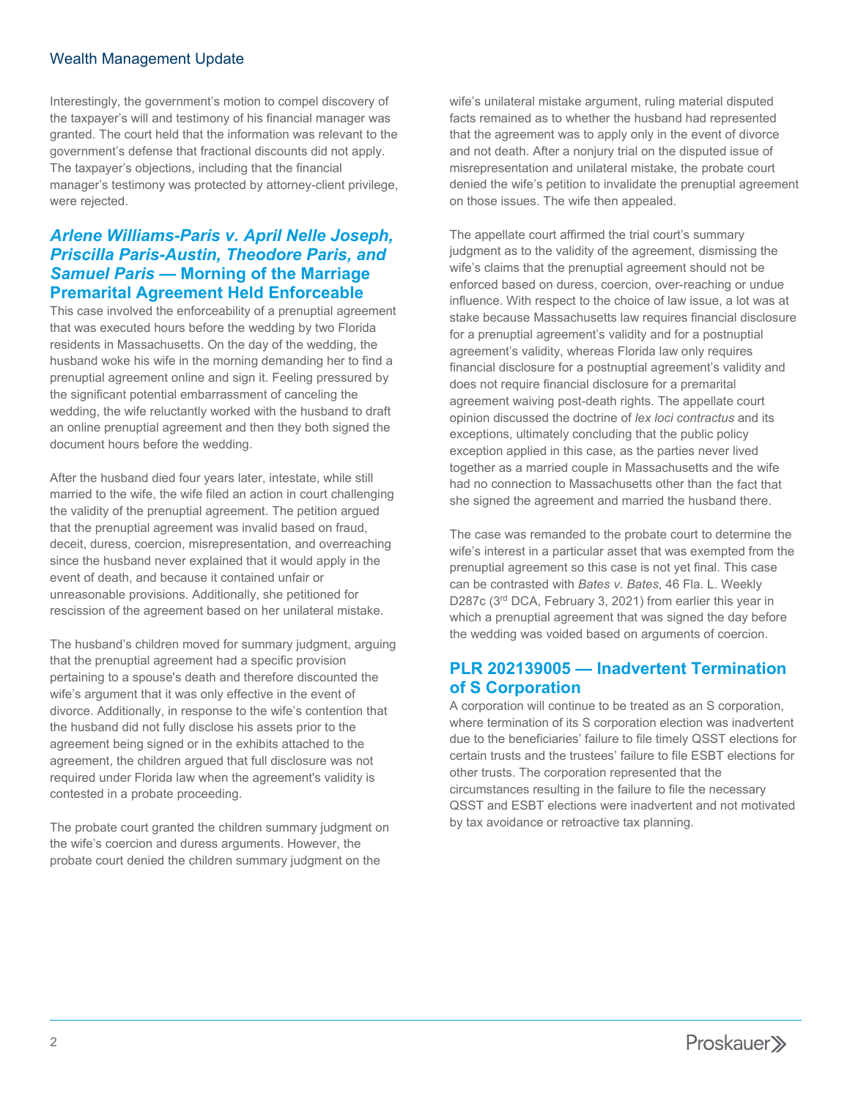#### Wealth Management Update

Interestingly, the government's motion to compel discovery of the taxpayer's will and testimony of his financial manager was granted. The court held that the information was relevant to the government's defense that fractional discounts did not apply. The taxpayer's objections, including that the financial manager's testimony was protected by attorney-client privilege, were rejected.

## <span id="page-1-0"></span>*Arlene Williams-Paris v. April Nelle Joseph, Priscilla Paris-Austin, Theodore Paris, and Samuel Paris* **— Morning of the Marriage Premarital Agreement Held Enforceable**

This case involved the enforceability of a prenuptial agreement that was executed hours before the wedding by two Florida residents in Massachusetts. On the day of the wedding, the husband woke his wife in the morning demanding her to find a prenuptial agreement online and sign it. Feeling pressured by the significant potential embarrassment of canceling the wedding, the wife reluctantly worked with the husband to draft an online prenuptial agreement and then they both signed the document hours before the wedding.

After the husband died four years later, intestate, while still married to the wife, the wife filed an action in court challenging the validity of the prenuptial agreement. The petition argued that the prenuptial agreement was invalid based on fraud, deceit, duress, coercion, misrepresentation, and overreaching since the husband never explained that it would apply in the event of death, and because it contained unfair or unreasonable provisions. Additionally, she petitioned for rescission of the agreement based on her unilateral mistake.

The husband's children moved for summary judgment, arguing that the prenuptial agreement had a specific provision pertaining to a spouse's death and therefore discounted the wife's argument that it was only effective in the event of divorce. Additionally, in response to the wife's contention that the husband did not fully disclose his assets prior to the agreement being signed or in the exhibits attached to the agreement, the children argued that full disclosure was not required under Florida law when the agreement's validity is contested in a probate proceeding.

The probate court granted the children summary judgment on the wife's coercion and duress arguments. However, the probate court denied the children summary judgment on the

wife's unilateral mistake argument, ruling material disputed facts remained as to whether the husband had represented that the agreement was to apply only in the event of divorce and not death. After a nonjury trial on the disputed issue of misrepresentation and unilateral mistake, the probate court denied the wife's petition to invalidate the prenuptial agreement on those issues. The wife then appealed.

The appellate court affirmed the trial court's summary judgment as to the validity of the agreement, dismissing the wife's claims that the prenuptial agreement should not be enforced based on duress, coercion, over-reaching or undue influence. With respect to the choice of law issue, a lot was at stake because Massachusetts law requires financial disclosure for a prenuptial agreement's validity and for a postnuptial agreement's validity, whereas Florida law only requires financial disclosure for a postnuptial agreement's validity and does not require financial disclosure for a premarital agreement waiving post-death rights. The appellate court opinion discussed the doctrine of *lex loci contractus* and its exceptions, ultimately concluding that the public policy exception applied in this case, as the parties never lived together as a married couple in Massachusetts and the wife had no connection to Massachusetts other than the fact that she signed the agreement and married the husband there.

The case was remanded to the probate court to determine the wife's interest in a particular asset that was exempted from the prenuptial agreement so this case is not yet final. This case can be contrasted with *Bates v. Bates*, 46 Fla. L. Weekly D287c (3<sup>rd</sup> DCA, February 3, 2021) from earlier this year in which a prenuptial agreement that was signed the day before the wedding was voided based on arguments of coercion.

#### <span id="page-1-1"></span>**PLR 202139005 — Inadvertent Termination of S Corporation**

A corporation will continue to be treated as an S corporation, where termination of its S corporation election was inadvertent due to the beneficiaries' failure to file timely QSST elections for certain trusts and the trustees' failure to file ESBT elections for other trusts. The corporation represented that the circumstances resulting in the failure to file the necessary QSST and ESBT elections were inadvertent and not motivated by tax avoidance or retroactive tax planning.